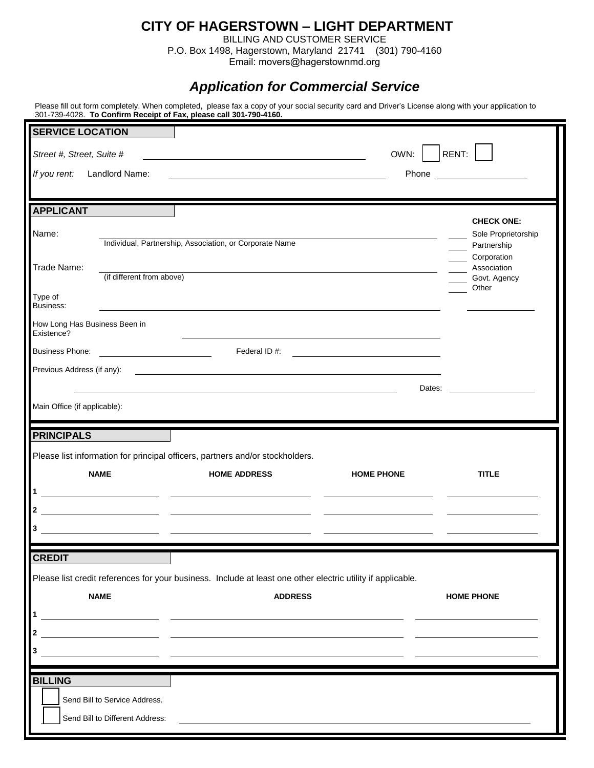## **CITY OF HAGERSTOWN – LIGHT DEPARTMENT**

BILLING AND CUSTOMER SERVICE P.O. Box 1498, Hagerstown, Maryland 21741 (301) 790-4160

Email: movers@hagerstownmd.org

## *Application for Commercial Service*

Please fill out form completely. When completed, please fax a copy of your social security card and Driver's License along with your application to 301-739-4028. **To Confirm Receipt of Fax, please call 301-790-4160.**

| <b>SERVICE LOCATION</b>                                                                         |                                                               |                                                                                                                                                                                                                                      |                   |                                                             |  |
|-------------------------------------------------------------------------------------------------|---------------------------------------------------------------|--------------------------------------------------------------------------------------------------------------------------------------------------------------------------------------------------------------------------------------|-------------------|-------------------------------------------------------------|--|
| RENT:<br>OWN:<br>Street #, Street, Suite #                                                      |                                                               |                                                                                                                                                                                                                                      |                   |                                                             |  |
| If you rent:                                                                                    | Landlord Name:                                                |                                                                                                                                                                                                                                      | Phone             | <u> 1980 - Jan Barbara Barbara, prima politik politik (</u> |  |
| <b>APPLICANT</b>                                                                                |                                                               |                                                                                                                                                                                                                                      |                   |                                                             |  |
| Name:                                                                                           |                                                               | Individual, Partnership, Association, or Corporate Name                                                                                                                                                                              |                   | <b>CHECK ONE:</b><br>Sole Proprietorship<br>Partnership     |  |
| Corporation<br>Trade Name:<br>Association<br>(if different from above)<br>Govt. Agency<br>Other |                                                               |                                                                                                                                                                                                                                      |                   |                                                             |  |
| Type of<br>Business:                                                                            |                                                               |                                                                                                                                                                                                                                      |                   |                                                             |  |
| How Long Has Business Been in<br>Existence?                                                     |                                                               |                                                                                                                                                                                                                                      |                   |                                                             |  |
| <b>Business Phone:</b>                                                                          |                                                               | Federal ID#:                                                                                                                                                                                                                         |                   |                                                             |  |
| Previous Address (if any):                                                                      |                                                               | <u>state and the state of the state of the state of the state of the state of the state of the state of the state of the state of the state of the state of the state of the state of the state of the state of the state of the</u> |                   |                                                             |  |
| Main Office (if applicable):                                                                    |                                                               |                                                                                                                                                                                                                                      | Dates:            |                                                             |  |
|                                                                                                 |                                                               |                                                                                                                                                                                                                                      |                   |                                                             |  |
| <b>PRINCIPALS</b>                                                                               |                                                               |                                                                                                                                                                                                                                      |                   |                                                             |  |
|                                                                                                 |                                                               | Please list information for principal officers, partners and/or stockholders.                                                                                                                                                        |                   |                                                             |  |
|                                                                                                 | <b>NAME</b>                                                   | <b>HOME ADDRESS</b>                                                                                                                                                                                                                  | <b>HOME PHONE</b> | <b>TITLE</b>                                                |  |
| $\mathbf{2}$                                                                                    | <u> 1989 - Johann Marie Barn, mars an t-Amerikaansk konst</u> |                                                                                                                                                                                                                                      |                   |                                                             |  |
| 3                                                                                               |                                                               |                                                                                                                                                                                                                                      |                   |                                                             |  |
|                                                                                                 |                                                               |                                                                                                                                                                                                                                      |                   |                                                             |  |
| <b>CREDIT</b>                                                                                   |                                                               | Please list credit references for your business. Include at least one other electric utility if applicable.                                                                                                                          |                   |                                                             |  |
|                                                                                                 | <b>NAME</b>                                                   | <b>ADDRESS</b>                                                                                                                                                                                                                       |                   | <b>HOME PHONE</b>                                           |  |
| 1                                                                                               |                                                               |                                                                                                                                                                                                                                      |                   |                                                             |  |
| $\mathbf{2}$                                                                                    |                                                               | <u> 1989 - Andrea Santa Alemania, amerikana amerikana amerikana amerikana amerikana amerikana amerikana amerikana</u>                                                                                                                |                   |                                                             |  |
| 3                                                                                               |                                                               |                                                                                                                                                                                                                                      |                   |                                                             |  |
| <b>BILLING</b>                                                                                  |                                                               |                                                                                                                                                                                                                                      |                   |                                                             |  |
|                                                                                                 | Send Bill to Service Address.                                 |                                                                                                                                                                                                                                      |                   |                                                             |  |
|                                                                                                 | Send Bill to Different Address:                               |                                                                                                                                                                                                                                      |                   |                                                             |  |